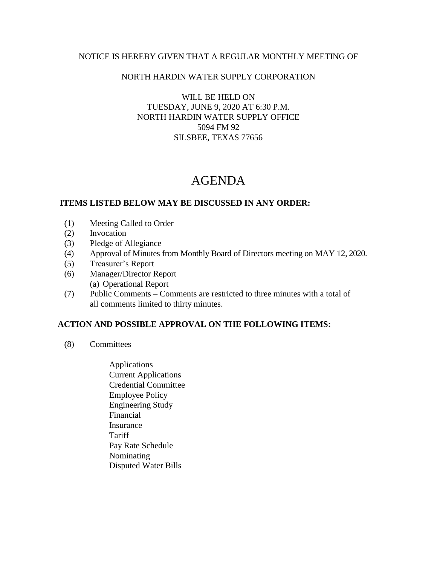## NOTICE IS HEREBY GIVEN THAT A REGULAR MONTHLY MEETING OF

## NORTH HARDIN WATER SUPPLY CORPORATION

WILL BE HELD ON TUESDAY, JUNE 9, 2020 AT 6:30 P.M. NORTH HARDIN WATER SUPPLY OFFICE 5094 FM 92 SILSBEE, TEXAS 77656

# AGENDA

#### **ITEMS LISTED BELOW MAY BE DISCUSSED IN ANY ORDER:**

- (1) Meeting Called to Order
- (2) Invocation
- (3) Pledge of Allegiance
- (4) Approval of Minutes from Monthly Board of Directors meeting on MAY 12, 2020.
- (5) Treasurer's Report
- (6) Manager/Director Report (a) Operational Report
- (7) Public Comments Comments are restricted to three minutes with a total of all comments limited to thirty minutes.

## **ACTION AND POSSIBLE APPROVAL ON THE FOLLOWING ITEMS:**

- (8) Committees
	- Applications Current Applications Credential Committee Employee Policy Engineering Study Financial Insurance **Tariff**  Pay Rate Schedule Nominating Disputed Water Bills